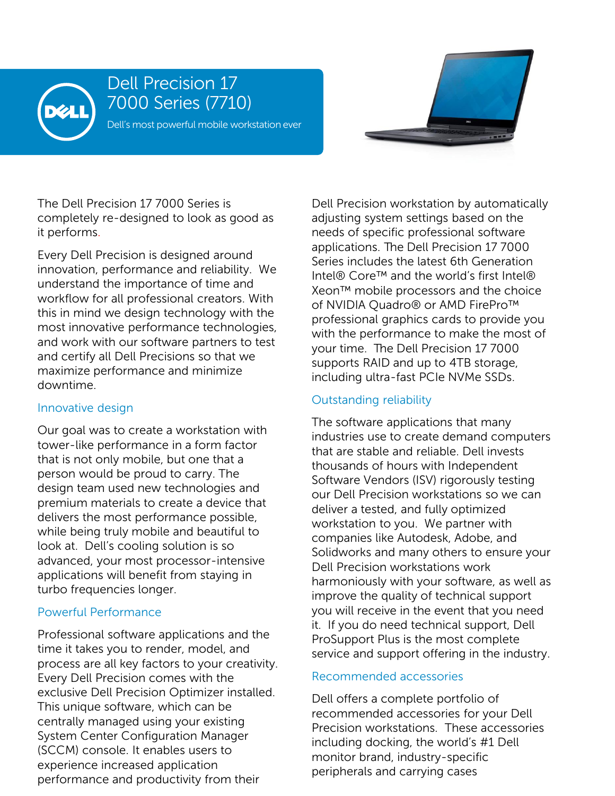

# Dell Precision 17 7000 Series (7710)

Dell's most powerful mobile workstation ever



The Dell Precision 17 7000 Series is completely re-designed to look as good as it performs.

Every Dell Precision is designed around innovation, performance and reliability. We understand the importance of time and workflow for all professional creators. With this in mind we design technology with the most innovative performance technologies, and work with our software partners to test and certify all Dell Precisions so that we maximize performance and minimize downtime.

#### Innovative design

Our goal was to create a workstation with tower-like performance in a form factor that is not only mobile, but one that a person would be proud to carry. The design team used new technologies and premium materials to create a device that delivers the most performance possible, while being truly mobile and beautiful to look at. Dell's cooling solution is so advanced, your most processor-intensive applications will benefit from staying in turbo frequencies longer.

### Powerful Performance

Professional software applications and the time it takes you to render, model, and process are all key factors to your creativity. Every Dell Precision comes with the exclusive Dell Precision Optimizer installed. This unique software, which can be centrally managed using your existing System Center Configuration Manager (SCCM) console. It enables users to experience increased application performance and productivity from their

Dell Precision workstation by automatically adjusting system settings based on the needs of specific professional software applications. The Dell Precision 17 7000 Series includes the latest 6th Generation Intel® Core™ and the world's first Intel® Xeon™ mobile processors and the choice of NVIDIA Quadro® or AMD FirePro™ professional graphics cards to provide you with the performance to make the most of your time. The Dell Precision 17 7000 supports RAID and up to 4TB storage, including ultra-fast PCIe NVMe SSDs.

## Outstanding reliability

The software applications that many industries use to create demand computers that are stable and reliable. Dell invests thousands of hours with Independent Software Vendors (ISV) rigorously testing our Dell Precision workstations so we can deliver a tested, and fully optimized workstation to you. We partner with companies like Autodesk, Adobe, and Solidworks and many others to ensure your Dell Precision workstations work harmoniously with your software, as well as improve the quality of technical support you will receive in the event that you need it. If you do need technical support, Dell ProSupport Plus is the most complete service and support offering in the industry.

## Recommended accessories

Dell offers a complete portfolio of recommended accessories for your Dell Precision workstations. These accessories including docking, the world's #1 Dell monitor brand, industry-specific peripherals and carrying cases